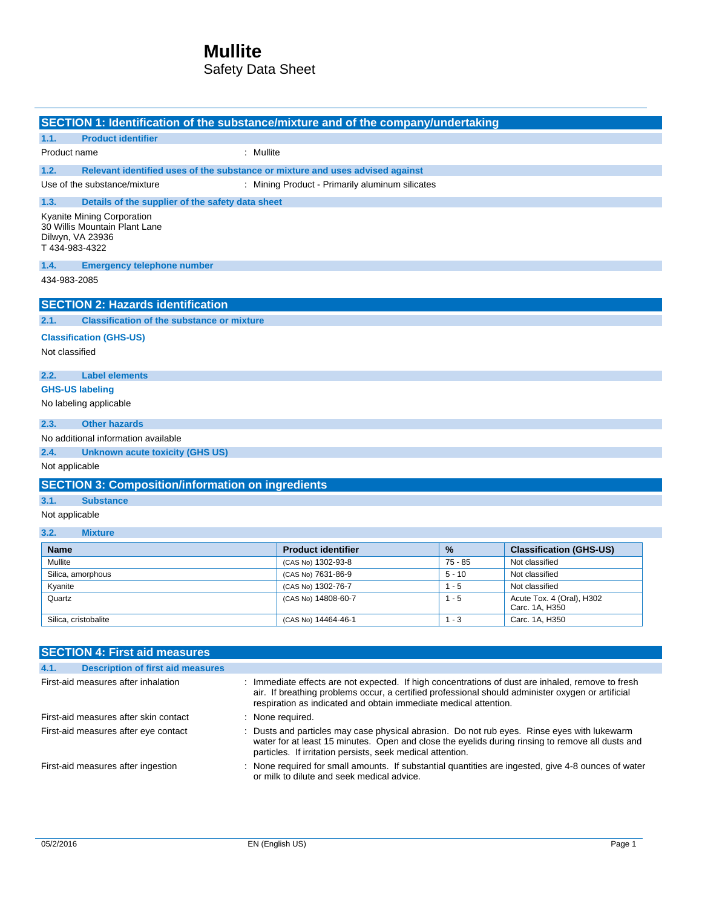## **Mullite**

### Safety Data Sheet

|                                                                                                                                                                                                                                                                                                                   | SECTION 1: Identification of the substance/mixture and of the company/undertaking                                                                                                                                                                                                                     |                                                 |  |          |                                                                                                   |  |  |  |  |
|-------------------------------------------------------------------------------------------------------------------------------------------------------------------------------------------------------------------------------------------------------------------------------------------------------------------|-------------------------------------------------------------------------------------------------------------------------------------------------------------------------------------------------------------------------------------------------------------------------------------------------------|-------------------------------------------------|--|----------|---------------------------------------------------------------------------------------------------|--|--|--|--|
| 1.1.                                                                                                                                                                                                                                                                                                              | <b>Product identifier</b>                                                                                                                                                                                                                                                                             |                                                 |  |          |                                                                                                   |  |  |  |  |
| Product name                                                                                                                                                                                                                                                                                                      |                                                                                                                                                                                                                                                                                                       | : Mullite                                       |  |          |                                                                                                   |  |  |  |  |
| 1.2.                                                                                                                                                                                                                                                                                                              | Relevant identified uses of the substance or mixture and uses advised against                                                                                                                                                                                                                         |                                                 |  |          |                                                                                                   |  |  |  |  |
|                                                                                                                                                                                                                                                                                                                   | Use of the substance/mixture                                                                                                                                                                                                                                                                          | : Mining Product - Primarily aluminum silicates |  |          |                                                                                                   |  |  |  |  |
| 1.3.                                                                                                                                                                                                                                                                                                              | Details of the supplier of the safety data sheet                                                                                                                                                                                                                                                      |                                                 |  |          |                                                                                                   |  |  |  |  |
| Kyanite Mining Corporation<br>Dilwyn, VA 23936<br>T434-983-4322                                                                                                                                                                                                                                                   | 30 Willis Mountain Plant Lane                                                                                                                                                                                                                                                                         |                                                 |  |          |                                                                                                   |  |  |  |  |
| 1.4.                                                                                                                                                                                                                                                                                                              | <b>Emergency telephone number</b>                                                                                                                                                                                                                                                                     |                                                 |  |          |                                                                                                   |  |  |  |  |
| 434-983-2085                                                                                                                                                                                                                                                                                                      |                                                                                                                                                                                                                                                                                                       |                                                 |  |          |                                                                                                   |  |  |  |  |
|                                                                                                                                                                                                                                                                                                                   | <b>SECTION 2: Hazards identification</b>                                                                                                                                                                                                                                                              |                                                 |  |          |                                                                                                   |  |  |  |  |
| 2.1.                                                                                                                                                                                                                                                                                                              | <b>Classification of the substance or mixture</b>                                                                                                                                                                                                                                                     |                                                 |  |          |                                                                                                   |  |  |  |  |
| <b>Classification (GHS-US)</b>                                                                                                                                                                                                                                                                                    |                                                                                                                                                                                                                                                                                                       |                                                 |  |          |                                                                                                   |  |  |  |  |
| Not classified                                                                                                                                                                                                                                                                                                    |                                                                                                                                                                                                                                                                                                       |                                                 |  |          |                                                                                                   |  |  |  |  |
| 2.2.                                                                                                                                                                                                                                                                                                              | <b>Label elements</b>                                                                                                                                                                                                                                                                                 |                                                 |  |          |                                                                                                   |  |  |  |  |
| <b>GHS-US labeling</b>                                                                                                                                                                                                                                                                                            |                                                                                                                                                                                                                                                                                                       |                                                 |  |          |                                                                                                   |  |  |  |  |
| No labeling applicable                                                                                                                                                                                                                                                                                            |                                                                                                                                                                                                                                                                                                       |                                                 |  |          |                                                                                                   |  |  |  |  |
| 2.3.                                                                                                                                                                                                                                                                                                              | <b>Other hazards</b>                                                                                                                                                                                                                                                                                  |                                                 |  |          |                                                                                                   |  |  |  |  |
|                                                                                                                                                                                                                                                                                                                   | No additional information available                                                                                                                                                                                                                                                                   |                                                 |  |          |                                                                                                   |  |  |  |  |
| 2.4.                                                                                                                                                                                                                                                                                                              | Unknown acute toxicity (GHS US)                                                                                                                                                                                                                                                                       |                                                 |  |          |                                                                                                   |  |  |  |  |
| Not applicable                                                                                                                                                                                                                                                                                                    |                                                                                                                                                                                                                                                                                                       |                                                 |  |          |                                                                                                   |  |  |  |  |
|                                                                                                                                                                                                                                                                                                                   | <b>SECTION 3: Composition/information on ingredients</b>                                                                                                                                                                                                                                              |                                                 |  |          |                                                                                                   |  |  |  |  |
| 3.1.                                                                                                                                                                                                                                                                                                              | <b>Substance</b>                                                                                                                                                                                                                                                                                      |                                                 |  |          |                                                                                                   |  |  |  |  |
| Not applicable                                                                                                                                                                                                                                                                                                    |                                                                                                                                                                                                                                                                                                       |                                                 |  |          |                                                                                                   |  |  |  |  |
| 3.2.                                                                                                                                                                                                                                                                                                              | <b>Mixture</b>                                                                                                                                                                                                                                                                                        |                                                 |  |          |                                                                                                   |  |  |  |  |
| <b>Name</b>                                                                                                                                                                                                                                                                                                       |                                                                                                                                                                                                                                                                                                       | <b>Product identifier</b>                       |  | %        | <b>Classification (GHS-US)</b>                                                                    |  |  |  |  |
| Mullite                                                                                                                                                                                                                                                                                                           |                                                                                                                                                                                                                                                                                                       | (CAS No) 1302-93-8                              |  | 75 - 85  | Not classified                                                                                    |  |  |  |  |
| Silica, amorphous                                                                                                                                                                                                                                                                                                 |                                                                                                                                                                                                                                                                                                       | (CAS No) 7631-86-9                              |  | $5 - 10$ | Not classified                                                                                    |  |  |  |  |
| Kyanite                                                                                                                                                                                                                                                                                                           |                                                                                                                                                                                                                                                                                                       | (CAS No) 1302-76-7                              |  | $1 - 5$  | Not classified                                                                                    |  |  |  |  |
| Quartz                                                                                                                                                                                                                                                                                                            |                                                                                                                                                                                                                                                                                                       | (CAS No) 14808-60-7                             |  | $1 - 5$  | Acute Tox. 4 (Oral), H302<br>Carc. 1A, H350                                                       |  |  |  |  |
| Silica, cristobalite                                                                                                                                                                                                                                                                                              |                                                                                                                                                                                                                                                                                                       | (CAS No) 14464-46-1                             |  | $1 - 3$  | Carc. 1A, H350                                                                                    |  |  |  |  |
|                                                                                                                                                                                                                                                                                                                   |                                                                                                                                                                                                                                                                                                       |                                                 |  |          |                                                                                                   |  |  |  |  |
|                                                                                                                                                                                                                                                                                                                   | <b>SECTION 4: First aid measures</b>                                                                                                                                                                                                                                                                  |                                                 |  |          |                                                                                                   |  |  |  |  |
|                                                                                                                                                                                                                                                                                                                   |                                                                                                                                                                                                                                                                                                       |                                                 |  |          |                                                                                                   |  |  |  |  |
| 4.1.<br><b>Description of first aid measures</b>                                                                                                                                                                                                                                                                  |                                                                                                                                                                                                                                                                                                       |                                                 |  |          |                                                                                                   |  |  |  |  |
| First-aid measures after inhalation<br>: Immediate effects are not expected. If high concentrations of dust are inhaled, remove to fresh<br>air. If breathing problems occur, a certified professional should administer oxygen or artificial<br>respiration as indicated and obtain immediate medical attention. |                                                                                                                                                                                                                                                                                                       |                                                 |  |          |                                                                                                   |  |  |  |  |
|                                                                                                                                                                                                                                                                                                                   | First-aid measures after skin contact                                                                                                                                                                                                                                                                 | : None required.                                |  |          |                                                                                                   |  |  |  |  |
|                                                                                                                                                                                                                                                                                                                   | First-aid measures after eye contact<br>: Dusts and particles may case physical abrasion. Do not rub eyes. Rinse eyes with lukewarm<br>water for at least 15 minutes. Open and close the eyelids during rinsing to remove all dusts and<br>particles. If irritation persists, seek medical attention. |                                                 |  |          |                                                                                                   |  |  |  |  |
|                                                                                                                                                                                                                                                                                                                   | First-aid measures after ingestion                                                                                                                                                                                                                                                                    | or milk to dilute and seek medical advice.      |  |          | None required for small amounts. If substantial quantities are ingested, give 4-8 ounces of water |  |  |  |  |

 $\overline{\phantom{a}}$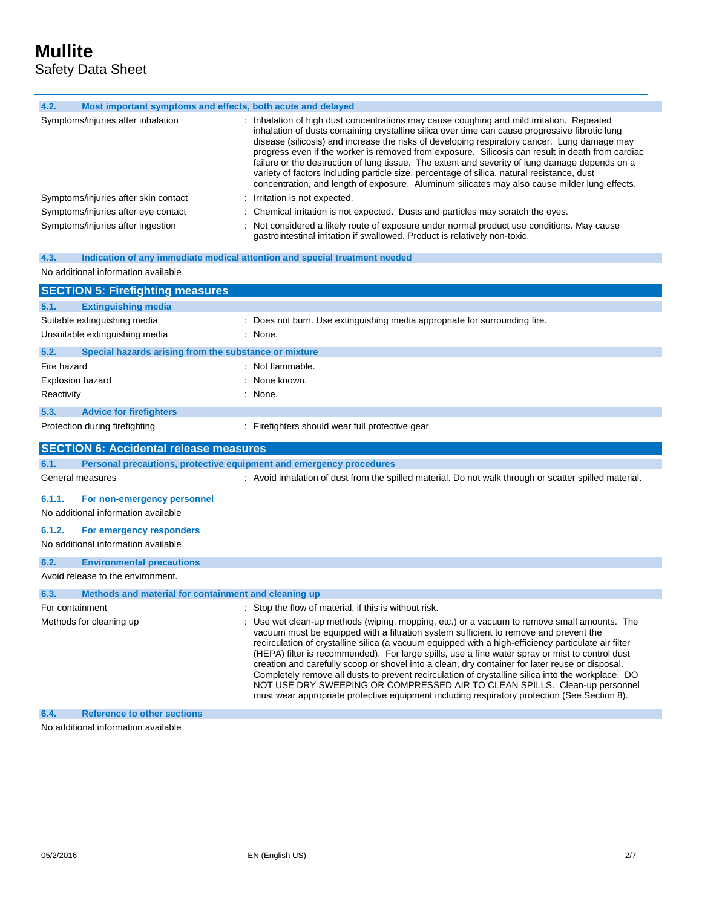L

| 4.2.<br>Most important symptoms and effects, both acute and delayed          |                                                                                                                                                                                                                                                                                                                                                                                                                                                                                                                                                                                                                                                                                                                                                                                       |  |  |  |  |
|------------------------------------------------------------------------------|---------------------------------------------------------------------------------------------------------------------------------------------------------------------------------------------------------------------------------------------------------------------------------------------------------------------------------------------------------------------------------------------------------------------------------------------------------------------------------------------------------------------------------------------------------------------------------------------------------------------------------------------------------------------------------------------------------------------------------------------------------------------------------------|--|--|--|--|
|                                                                              |                                                                                                                                                                                                                                                                                                                                                                                                                                                                                                                                                                                                                                                                                                                                                                                       |  |  |  |  |
| Symptoms/injuries after inhalation                                           | : Inhalation of high dust concentrations may cause coughing and mild irritation. Repeated<br>inhalation of dusts containing crystalline silica over time can cause progressive fibrotic lung<br>disease (silicosis) and increase the risks of developing respiratory cancer. Lung damage may<br>progress even if the worker is removed from exposure. Silicosis can result in death from cardiac<br>failure or the destruction of lung tissue. The extent and severity of lung damage depends on a<br>variety of factors including particle size, percentage of silica, natural resistance, dust<br>concentration, and length of exposure. Aluminum silicates may also cause milder lung effects.                                                                                     |  |  |  |  |
| Symptoms/injuries after skin contact                                         | Irritation is not expected.                                                                                                                                                                                                                                                                                                                                                                                                                                                                                                                                                                                                                                                                                                                                                           |  |  |  |  |
| Symptoms/injuries after eye contact                                          | Chemical irritation is not expected. Dusts and particles may scratch the eyes.                                                                                                                                                                                                                                                                                                                                                                                                                                                                                                                                                                                                                                                                                                        |  |  |  |  |
| Symptoms/injuries after ingestion                                            | : Not considered a likely route of exposure under normal product use conditions. May cause<br>gastrointestinal irritation if swallowed. Product is relatively non-toxic.                                                                                                                                                                                                                                                                                                                                                                                                                                                                                                                                                                                                              |  |  |  |  |
| 4.3.                                                                         | Indication of any immediate medical attention and special treatment needed                                                                                                                                                                                                                                                                                                                                                                                                                                                                                                                                                                                                                                                                                                            |  |  |  |  |
| No additional information available                                          |                                                                                                                                                                                                                                                                                                                                                                                                                                                                                                                                                                                                                                                                                                                                                                                       |  |  |  |  |
| <b>SECTION 5: Firefighting measures</b>                                      |                                                                                                                                                                                                                                                                                                                                                                                                                                                                                                                                                                                                                                                                                                                                                                                       |  |  |  |  |
| <b>Extinguishing media</b><br>5.1.                                           |                                                                                                                                                                                                                                                                                                                                                                                                                                                                                                                                                                                                                                                                                                                                                                                       |  |  |  |  |
| Suitable extinguishing media                                                 | : Does not burn. Use extinguishing media appropriate for surrounding fire.                                                                                                                                                                                                                                                                                                                                                                                                                                                                                                                                                                                                                                                                                                            |  |  |  |  |
| Unsuitable extinguishing media                                               | : None.                                                                                                                                                                                                                                                                                                                                                                                                                                                                                                                                                                                                                                                                                                                                                                               |  |  |  |  |
|                                                                              |                                                                                                                                                                                                                                                                                                                                                                                                                                                                                                                                                                                                                                                                                                                                                                                       |  |  |  |  |
| 5.2.<br>Special hazards arising from the substance or mixture<br>Fire hazard | : Not flammable.                                                                                                                                                                                                                                                                                                                                                                                                                                                                                                                                                                                                                                                                                                                                                                      |  |  |  |  |
| Explosion hazard                                                             | : None known.                                                                                                                                                                                                                                                                                                                                                                                                                                                                                                                                                                                                                                                                                                                                                                         |  |  |  |  |
| Reactivity                                                                   | $:$ None.                                                                                                                                                                                                                                                                                                                                                                                                                                                                                                                                                                                                                                                                                                                                                                             |  |  |  |  |
|                                                                              |                                                                                                                                                                                                                                                                                                                                                                                                                                                                                                                                                                                                                                                                                                                                                                                       |  |  |  |  |
| 5.3.<br><b>Advice for firefighters</b>                                       |                                                                                                                                                                                                                                                                                                                                                                                                                                                                                                                                                                                                                                                                                                                                                                                       |  |  |  |  |
| Protection during firefighting                                               | : Firefighters should wear full protective gear.                                                                                                                                                                                                                                                                                                                                                                                                                                                                                                                                                                                                                                                                                                                                      |  |  |  |  |
| <b>SECTION 6: Accidental release measures</b>                                |                                                                                                                                                                                                                                                                                                                                                                                                                                                                                                                                                                                                                                                                                                                                                                                       |  |  |  |  |
| 6.1.                                                                         | Personal precautions, protective equipment and emergency procedures                                                                                                                                                                                                                                                                                                                                                                                                                                                                                                                                                                                                                                                                                                                   |  |  |  |  |
| General measures                                                             | : Avoid inhalation of dust from the spilled material. Do not walk through or scatter spilled material.                                                                                                                                                                                                                                                                                                                                                                                                                                                                                                                                                                                                                                                                                |  |  |  |  |
| 6.1.1.<br>For non-emergency personnel                                        |                                                                                                                                                                                                                                                                                                                                                                                                                                                                                                                                                                                                                                                                                                                                                                                       |  |  |  |  |
| No additional information available                                          |                                                                                                                                                                                                                                                                                                                                                                                                                                                                                                                                                                                                                                                                                                                                                                                       |  |  |  |  |
| 6.1.2.<br>For emergency responders                                           |                                                                                                                                                                                                                                                                                                                                                                                                                                                                                                                                                                                                                                                                                                                                                                                       |  |  |  |  |
| No additional information available                                          |                                                                                                                                                                                                                                                                                                                                                                                                                                                                                                                                                                                                                                                                                                                                                                                       |  |  |  |  |
| 6.2.<br><b>Environmental precautions</b>                                     |                                                                                                                                                                                                                                                                                                                                                                                                                                                                                                                                                                                                                                                                                                                                                                                       |  |  |  |  |
| Avoid release to the environment.                                            |                                                                                                                                                                                                                                                                                                                                                                                                                                                                                                                                                                                                                                                                                                                                                                                       |  |  |  |  |
| Methods and material for containment and cleaning up<br>6.3.                 |                                                                                                                                                                                                                                                                                                                                                                                                                                                                                                                                                                                                                                                                                                                                                                                       |  |  |  |  |
| For containment                                                              | : Stop the flow of material, if this is without risk.                                                                                                                                                                                                                                                                                                                                                                                                                                                                                                                                                                                                                                                                                                                                 |  |  |  |  |
| Methods for cleaning up                                                      | : Use wet clean-up methods (wiping, mopping, etc.) or a vacuum to remove small amounts. The<br>vacuum must be equipped with a filtration system sufficient to remove and prevent the<br>recirculation of crystalline silica (a vacuum equipped with a high-efficiency particulate air filter<br>(HEPA) filter is recommended). For large spills, use a fine water spray or mist to control dust<br>creation and carefully scoop or shovel into a clean, dry container for later reuse or disposal.<br>Completely remove all dusts to prevent recirculation of crystalline silica into the workplace. DO<br>NOT USE DRY SWEEPING OR COMPRESSED AIR TO CLEAN SPILLS. Clean-up personnel<br>must wear appropriate protective equipment including respiratory protection (See Section 8). |  |  |  |  |
| <b>Reference to other sections</b><br>6.4.                                   |                                                                                                                                                                                                                                                                                                                                                                                                                                                                                                                                                                                                                                                                                                                                                                                       |  |  |  |  |

No additional information available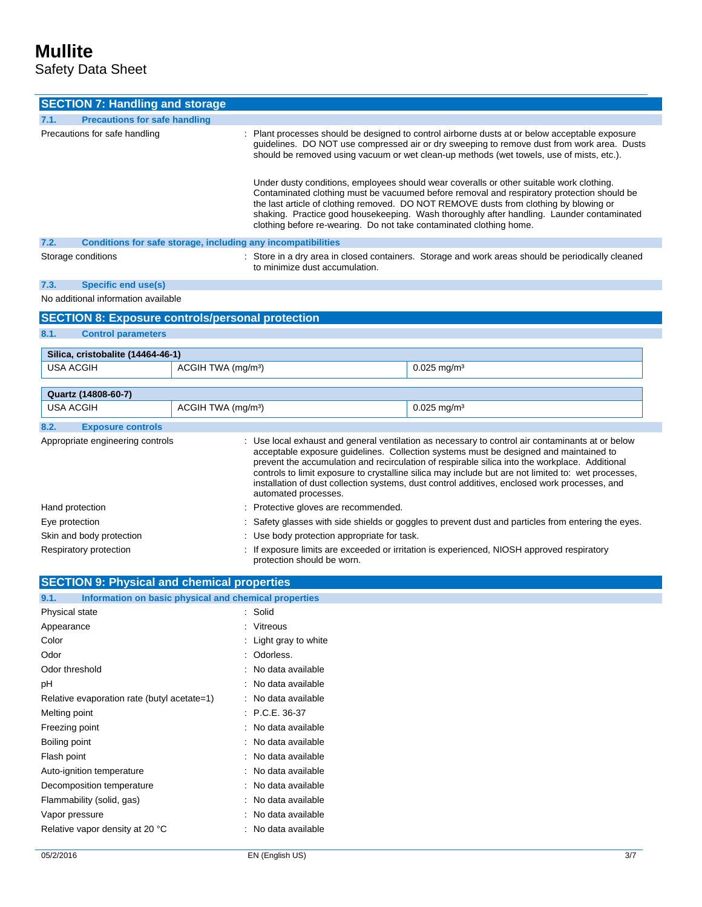# **Mullite**

Safety Data Sheet

| <b>SECTION 7: Handling and storage</b>                                                                                                                                                                                                                                                                                                                                                                                                                                                                                                                          |                                |                                                                                                                                                                                                                                                                                          |                                                                                                                                                                                                                                                                                                                                                                              |  |
|-----------------------------------------------------------------------------------------------------------------------------------------------------------------------------------------------------------------------------------------------------------------------------------------------------------------------------------------------------------------------------------------------------------------------------------------------------------------------------------------------------------------------------------------------------------------|--------------------------------|------------------------------------------------------------------------------------------------------------------------------------------------------------------------------------------------------------------------------------------------------------------------------------------|------------------------------------------------------------------------------------------------------------------------------------------------------------------------------------------------------------------------------------------------------------------------------------------------------------------------------------------------------------------------------|--|
| 7.1.<br><b>Precautions for safe handling</b>                                                                                                                                                                                                                                                                                                                                                                                                                                                                                                                    |                                |                                                                                                                                                                                                                                                                                          |                                                                                                                                                                                                                                                                                                                                                                              |  |
| Precautions for safe handling                                                                                                                                                                                                                                                                                                                                                                                                                                                                                                                                   |                                | : Plant processes should be designed to control airborne dusts at or below acceptable exposure<br>guidelines. DO NOT use compressed air or dry sweeping to remove dust from work area. Dusts<br>should be removed using vacuum or wet clean-up methods (wet towels, use of mists, etc.). |                                                                                                                                                                                                                                                                                                                                                                              |  |
|                                                                                                                                                                                                                                                                                                                                                                                                                                                                                                                                                                 |                                | clothing before re-wearing. Do not take contaminated clothing home.                                                                                                                                                                                                                      | Under dusty conditions, employees should wear coveralls or other suitable work clothing.<br>Contaminated clothing must be vacuumed before removal and respiratory protection should be<br>the last article of clothing removed. DO NOT REMOVE dusts from clothing by blowing or<br>shaking. Practice good housekeeping. Wash thoroughly after handling. Launder contaminated |  |
| 7.2.                                                                                                                                                                                                                                                                                                                                                                                                                                                                                                                                                            |                                | Conditions for safe storage, including any incompatibilities                                                                                                                                                                                                                             |                                                                                                                                                                                                                                                                                                                                                                              |  |
| Storage conditions                                                                                                                                                                                                                                                                                                                                                                                                                                                                                                                                              |                                | to minimize dust accumulation.                                                                                                                                                                                                                                                           | : Store in a dry area in closed containers. Storage and work areas should be periodically cleaned                                                                                                                                                                                                                                                                            |  |
| 7.3.<br><b>Specific end use(s)</b>                                                                                                                                                                                                                                                                                                                                                                                                                                                                                                                              |                                |                                                                                                                                                                                                                                                                                          |                                                                                                                                                                                                                                                                                                                                                                              |  |
| No additional information available                                                                                                                                                                                                                                                                                                                                                                                                                                                                                                                             |                                |                                                                                                                                                                                                                                                                                          |                                                                                                                                                                                                                                                                                                                                                                              |  |
| <b>SECTION 8: Exposure controls/personal protection</b>                                                                                                                                                                                                                                                                                                                                                                                                                                                                                                         |                                |                                                                                                                                                                                                                                                                                          |                                                                                                                                                                                                                                                                                                                                                                              |  |
| 8.1.<br><b>Control parameters</b>                                                                                                                                                                                                                                                                                                                                                                                                                                                                                                                               |                                |                                                                                                                                                                                                                                                                                          |                                                                                                                                                                                                                                                                                                                                                                              |  |
|                                                                                                                                                                                                                                                                                                                                                                                                                                                                                                                                                                 |                                |                                                                                                                                                                                                                                                                                          |                                                                                                                                                                                                                                                                                                                                                                              |  |
| Silica, cristobalite (14464-46-1)                                                                                                                                                                                                                                                                                                                                                                                                                                                                                                                               |                                |                                                                                                                                                                                                                                                                                          |                                                                                                                                                                                                                                                                                                                                                                              |  |
| USA ACGIH                                                                                                                                                                                                                                                                                                                                                                                                                                                                                                                                                       | ACGIH TWA (mg/m <sup>3</sup> ) |                                                                                                                                                                                                                                                                                          | $0.025$ mg/m <sup>3</sup>                                                                                                                                                                                                                                                                                                                                                    |  |
|                                                                                                                                                                                                                                                                                                                                                                                                                                                                                                                                                                 |                                |                                                                                                                                                                                                                                                                                          |                                                                                                                                                                                                                                                                                                                                                                              |  |
| Quartz (14808-60-7)<br><b>USA ACGIH</b>                                                                                                                                                                                                                                                                                                                                                                                                                                                                                                                         | ACGIH TWA (mg/m <sup>3</sup> ) |                                                                                                                                                                                                                                                                                          | $0.025$ mg/m <sup>3</sup>                                                                                                                                                                                                                                                                                                                                                    |  |
|                                                                                                                                                                                                                                                                                                                                                                                                                                                                                                                                                                 |                                |                                                                                                                                                                                                                                                                                          |                                                                                                                                                                                                                                                                                                                                                                              |  |
| 8.2.<br><b>Exposure controls</b>                                                                                                                                                                                                                                                                                                                                                                                                                                                                                                                                |                                |                                                                                                                                                                                                                                                                                          |                                                                                                                                                                                                                                                                                                                                                                              |  |
| Appropriate engineering controls<br>: Use local exhaust and general ventilation as necessary to control air contaminants at or below<br>acceptable exposure guidelines. Collection systems must be designed and maintained to<br>prevent the accumulation and recirculation of respirable silica into the workplace. Additional<br>controls to limit exposure to crystalline silica may include but are not limited to: wet processes,<br>installation of dust collection systems, dust control additives, enclosed work processes, and<br>automated processes. |                                |                                                                                                                                                                                                                                                                                          |                                                                                                                                                                                                                                                                                                                                                                              |  |
| Hand protection                                                                                                                                                                                                                                                                                                                                                                                                                                                                                                                                                 |                                | : Protective gloves are recommended.                                                                                                                                                                                                                                                     |                                                                                                                                                                                                                                                                                                                                                                              |  |
| Eye protection                                                                                                                                                                                                                                                                                                                                                                                                                                                                                                                                                  |                                | : Safety glasses with side shields or goggles to prevent dust and particles from entering the eyes.                                                                                                                                                                                      |                                                                                                                                                                                                                                                                                                                                                                              |  |
| Skin and body protection                                                                                                                                                                                                                                                                                                                                                                                                                                                                                                                                        |                                | : Use body protection appropriate for task.                                                                                                                                                                                                                                              |                                                                                                                                                                                                                                                                                                                                                                              |  |
| Respiratory protection                                                                                                                                                                                                                                                                                                                                                                                                                                                                                                                                          |                                | : If exposure limits are exceeded or irritation is experienced, NIOSH approved respiratory                                                                                                                                                                                               |                                                                                                                                                                                                                                                                                                                                                                              |  |
|                                                                                                                                                                                                                                                                                                                                                                                                                                                                                                                                                                 |                                | protection should be worn.                                                                                                                                                                                                                                                               |                                                                                                                                                                                                                                                                                                                                                                              |  |
| <b>SECTION 9: Physical and chemical properties</b>                                                                                                                                                                                                                                                                                                                                                                                                                                                                                                              |                                |                                                                                                                                                                                                                                                                                          |                                                                                                                                                                                                                                                                                                                                                                              |  |
| Information on basic physical and chemical properties<br>9.1.                                                                                                                                                                                                                                                                                                                                                                                                                                                                                                   |                                |                                                                                                                                                                                                                                                                                          |                                                                                                                                                                                                                                                                                                                                                                              |  |
| Physical state                                                                                                                                                                                                                                                                                                                                                                                                                                                                                                                                                  |                                | : Solid                                                                                                                                                                                                                                                                                  |                                                                                                                                                                                                                                                                                                                                                                              |  |
| Appearance                                                                                                                                                                                                                                                                                                                                                                                                                                                                                                                                                      |                                | : Vitreous                                                                                                                                                                                                                                                                               |                                                                                                                                                                                                                                                                                                                                                                              |  |
| Color                                                                                                                                                                                                                                                                                                                                                                                                                                                                                                                                                           |                                | Light gray to white                                                                                                                                                                                                                                                                      |                                                                                                                                                                                                                                                                                                                                                                              |  |
| Odor                                                                                                                                                                                                                                                                                                                                                                                                                                                                                                                                                            |                                | : Odorless.                                                                                                                                                                                                                                                                              |                                                                                                                                                                                                                                                                                                                                                                              |  |
| Odor threshold                                                                                                                                                                                                                                                                                                                                                                                                                                                                                                                                                  |                                | : No data available                                                                                                                                                                                                                                                                      |                                                                                                                                                                                                                                                                                                                                                                              |  |
| рH                                                                                                                                                                                                                                                                                                                                                                                                                                                                                                                                                              |                                | : No data available                                                                                                                                                                                                                                                                      |                                                                                                                                                                                                                                                                                                                                                                              |  |
| Relative evaporation rate (butyl acetate=1)                                                                                                                                                                                                                                                                                                                                                                                                                                                                                                                     |                                | : No data available                                                                                                                                                                                                                                                                      |                                                                                                                                                                                                                                                                                                                                                                              |  |
| Melting point                                                                                                                                                                                                                                                                                                                                                                                                                                                                                                                                                   |                                | $P.C.E. 36-37$                                                                                                                                                                                                                                                                           |                                                                                                                                                                                                                                                                                                                                                                              |  |
| Freezing point                                                                                                                                                                                                                                                                                                                                                                                                                                                                                                                                                  |                                | : No data available                                                                                                                                                                                                                                                                      |                                                                                                                                                                                                                                                                                                                                                                              |  |
| Boiling point                                                                                                                                                                                                                                                                                                                                                                                                                                                                                                                                                   |                                | : No data available                                                                                                                                                                                                                                                                      |                                                                                                                                                                                                                                                                                                                                                                              |  |
| Flash point                                                                                                                                                                                                                                                                                                                                                                                                                                                                                                                                                     |                                | No data available                                                                                                                                                                                                                                                                        |                                                                                                                                                                                                                                                                                                                                                                              |  |
| Auto-ignition temperature                                                                                                                                                                                                                                                                                                                                                                                                                                                                                                                                       |                                | No data available                                                                                                                                                                                                                                                                        |                                                                                                                                                                                                                                                                                                                                                                              |  |
| Decomposition temperature                                                                                                                                                                                                                                                                                                                                                                                                                                                                                                                                       |                                | No data available                                                                                                                                                                                                                                                                        |                                                                                                                                                                                                                                                                                                                                                                              |  |
| Flammability (solid, gas)                                                                                                                                                                                                                                                                                                                                                                                                                                                                                                                                       |                                | : No data available                                                                                                                                                                                                                                                                      |                                                                                                                                                                                                                                                                                                                                                                              |  |
| Vapor pressure                                                                                                                                                                                                                                                                                                                                                                                                                                                                                                                                                  |                                | : No data available                                                                                                                                                                                                                                                                      |                                                                                                                                                                                                                                                                                                                                                                              |  |

Relative vapor density at 20 °C : No data available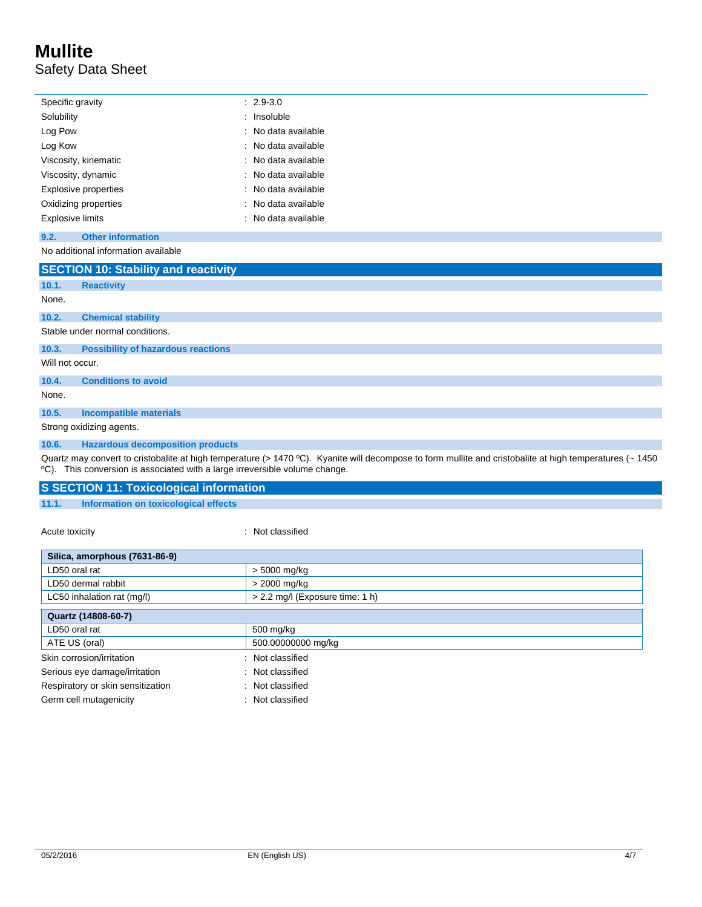### **Mullite** Safety Data Sheet

|                             | Specific gravity         | $: 2.9 - 3.0$       |
|-----------------------------|--------------------------|---------------------|
| Solubility                  |                          | : Insoluble         |
| Log Pow                     |                          | : No data available |
| Log Kow                     |                          | : No data available |
|                             | Viscosity, kinematic     | : No data available |
| Viscosity, dynamic          |                          | : No data available |
| <b>Explosive properties</b> |                          | : No data available |
| Oxidizing properties        |                          | : No data available |
| Explosive limits            |                          | : No data available |
| 9.2.                        | <b>Other information</b> |                     |
|                             |                          |                     |

No additional information available

|                          | <b>SECTION 10: Stability and reactivity</b> |  |  |  |  |
|--------------------------|---------------------------------------------|--|--|--|--|
| 10.1.                    | <b>Reactivity</b>                           |  |  |  |  |
| None.                    |                                             |  |  |  |  |
| 10.2.                    | <b>Chemical stability</b>                   |  |  |  |  |
|                          | Stable under normal conditions.             |  |  |  |  |
| 10.3.                    | <b>Possibility of hazardous reactions</b>   |  |  |  |  |
| Will not occur.          |                                             |  |  |  |  |
| 10.4.                    | <b>Conditions to avoid</b>                  |  |  |  |  |
| None.                    |                                             |  |  |  |  |
| 10.5.                    | <b>Incompatible materials</b>               |  |  |  |  |
| Strong oxidizing agents. |                                             |  |  |  |  |
| 10.6.                    | <b>Hazardous decomposition products</b>     |  |  |  |  |

Quartz may convert to cristobalite at high temperature (> 1470 °C). Kyanite will decompose to form mullite and cristobalite at high temperatures (~ 1450 ºC). This conversion is associated with a large irreversible volume change.

| <b>S SECTION 11: Toxicological information</b> |                                      |  |  |  |
|------------------------------------------------|--------------------------------------|--|--|--|
| 11.1.                                          | Information on toxicological effects |  |  |  |

Acute toxicity in the contract of the classified in the classified in the classified in the classified in the classified in the classified in the classified in the contract of the contract of the contract of the contract o

| Silica, amorphous (7631-86-9)     |                                 |  |  |  |
|-----------------------------------|---------------------------------|--|--|--|
| LD50 oral rat                     | $> 5000$ mg/kg                  |  |  |  |
| LD50 dermal rabbit                | > 2000 mg/kg                    |  |  |  |
| LC50 inhalation rat (mg/l)        | > 2.2 mg/l (Exposure time: 1 h) |  |  |  |
| Quartz (14808-60-7)               |                                 |  |  |  |
| LD50 oral rat                     | 500 mg/kg                       |  |  |  |
| ATE US (oral)                     | 500.00000000 mg/kg              |  |  |  |
| Skin corrosion/irritation         | : Not classified                |  |  |  |
| Serious eye damage/irritation     | : Not classified                |  |  |  |
| Respiratory or skin sensitization | : Not classified                |  |  |  |
| Germ cell mutagenicity            | : Not classified                |  |  |  |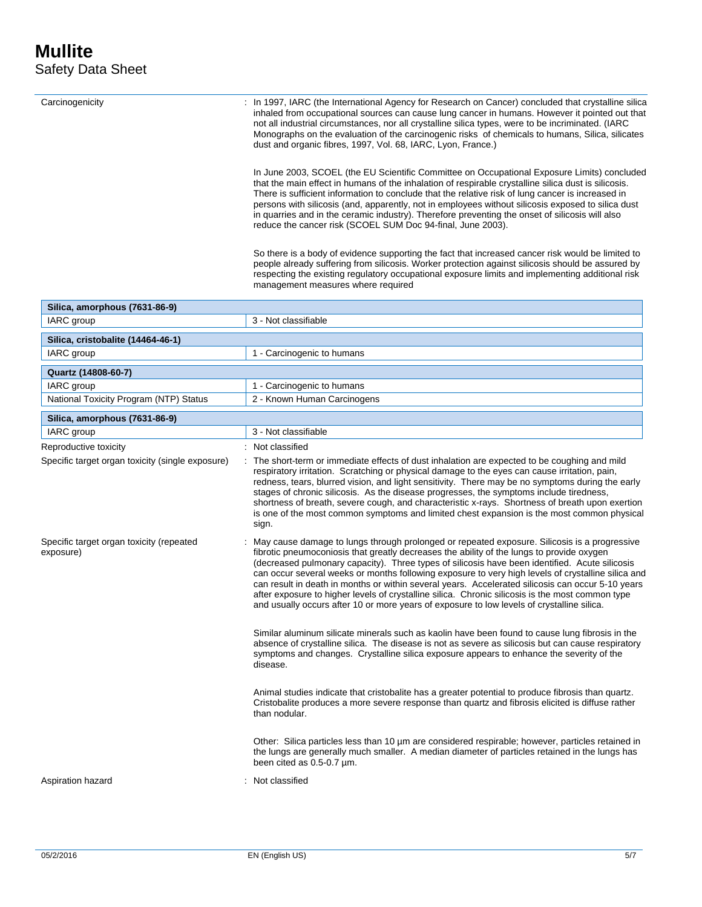|                                                       | inhaled from occupational sources can cause lung cancer in humans. However it pointed out that<br>not all industrial circumstances, nor all crystalline silica types, were to be incriminated. (IARC<br>Monographs on the evaluation of the carcinogenic risks of chemicals to humans, Silica, silicates<br>dust and organic fibres, 1997, Vol. 68, IARC, Lyon, France.)                                                                                                                                                                                                                                                                                                                                   |  |  |  |
|-------------------------------------------------------|------------------------------------------------------------------------------------------------------------------------------------------------------------------------------------------------------------------------------------------------------------------------------------------------------------------------------------------------------------------------------------------------------------------------------------------------------------------------------------------------------------------------------------------------------------------------------------------------------------------------------------------------------------------------------------------------------------|--|--|--|
|                                                       | In June 2003, SCOEL (the EU Scientific Committee on Occupational Exposure Limits) concluded<br>that the main effect in humans of the inhalation of respirable crystalline silica dust is silicosis.<br>There is sufficient information to conclude that the relative risk of lung cancer is increased in<br>persons with silicosis (and, apparently, not in employees without silicosis exposed to silica dust<br>in quarries and in the ceramic industry). Therefore preventing the onset of silicosis will also<br>reduce the cancer risk (SCOEL SUM Doc 94-final, June 2003).                                                                                                                           |  |  |  |
|                                                       | So there is a body of evidence supporting the fact that increased cancer risk would be limited to<br>people already suffering from silicosis. Worker protection against silicosis should be assured by<br>respecting the existing regulatory occupational exposure limits and implementing additional risk<br>management measures where required                                                                                                                                                                                                                                                                                                                                                           |  |  |  |
| Silica, amorphous (7631-86-9)                         |                                                                                                                                                                                                                                                                                                                                                                                                                                                                                                                                                                                                                                                                                                            |  |  |  |
| IARC group                                            | 3 - Not classifiable                                                                                                                                                                                                                                                                                                                                                                                                                                                                                                                                                                                                                                                                                       |  |  |  |
| Silica, cristobalite (14464-46-1)                     |                                                                                                                                                                                                                                                                                                                                                                                                                                                                                                                                                                                                                                                                                                            |  |  |  |
| IARC group                                            | 1 - Carcinogenic to humans                                                                                                                                                                                                                                                                                                                                                                                                                                                                                                                                                                                                                                                                                 |  |  |  |
| Quartz (14808-60-7)                                   |                                                                                                                                                                                                                                                                                                                                                                                                                                                                                                                                                                                                                                                                                                            |  |  |  |
| IARC group                                            | 1 - Carcinogenic to humans                                                                                                                                                                                                                                                                                                                                                                                                                                                                                                                                                                                                                                                                                 |  |  |  |
| National Toxicity Program (NTP) Status                | 2 - Known Human Carcinogens                                                                                                                                                                                                                                                                                                                                                                                                                                                                                                                                                                                                                                                                                |  |  |  |
| Silica, amorphous (7631-86-9)                         |                                                                                                                                                                                                                                                                                                                                                                                                                                                                                                                                                                                                                                                                                                            |  |  |  |
| IARC group                                            | 3 - Not classifiable                                                                                                                                                                                                                                                                                                                                                                                                                                                                                                                                                                                                                                                                                       |  |  |  |
| Reproductive toxicity                                 | : Not classified                                                                                                                                                                                                                                                                                                                                                                                                                                                                                                                                                                                                                                                                                           |  |  |  |
| Specific target organ toxicity (single exposure)      | : The short-term or immediate effects of dust inhalation are expected to be coughing and mild<br>respiratory irritation. Scratching or physical damage to the eyes can cause irritation, pain,<br>redness, tears, blurred vision, and light sensitivity. There may be no symptoms during the early<br>stages of chronic silicosis. As the disease progresses, the symptoms include tiredness,<br>shortness of breath, severe cough, and characteristic x-rays. Shortness of breath upon exertion<br>is one of the most common symptoms and limited chest expansion is the most common physical<br>sign.                                                                                                    |  |  |  |
| Specific target organ toxicity (repeated<br>exposure) | : May cause damage to lungs through prolonged or repeated exposure. Silicosis is a progressive<br>fibrotic pneumoconiosis that greatly decreases the ability of the lungs to provide oxygen<br>(decreased pulmonary capacity). Three types of silicosis have been identified. Acute silicosis<br>can occur several weeks or months following exposure to very high levels of crystalline silica and<br>can result in death in months or within several years. Accelerated silicosis can occur 5-10 years<br>after exposure to higher levels of crystalline silica. Chronic silicosis is the most common type<br>and usually occurs after 10 or more years of exposure to low levels of crystalline silica. |  |  |  |
|                                                       | Similar aluminum silicate minerals such as kaolin have been found to cause lung fibrosis in the<br>absence of crystalline silica. The disease is not as severe as silicosis but can cause respiratory<br>symptoms and changes. Crystalline silica exposure appears to enhance the severity of the<br>disease.                                                                                                                                                                                                                                                                                                                                                                                              |  |  |  |
|                                                       | Animal studies indicate that cristobalite has a greater potential to produce fibrosis than quartz.<br>Cristobalite produces a more severe response than quartz and fibrosis elicited is diffuse rather<br>than nodular.                                                                                                                                                                                                                                                                                                                                                                                                                                                                                    |  |  |  |
|                                                       | Other: Silica particles less than 10 um are considered respirable; however, particles retained in<br>the lungs are generally much smaller. A median diameter of particles retained in the lungs has<br>been cited as 0.5-0.7 µm.                                                                                                                                                                                                                                                                                                                                                                                                                                                                           |  |  |  |
| Aspiration hazard                                     | : Not classified                                                                                                                                                                                                                                                                                                                                                                                                                                                                                                                                                                                                                                                                                           |  |  |  |

Carcinogenicity : In 1997, IARC (the International Agency for Research on Cancer) concluded that crystalline silica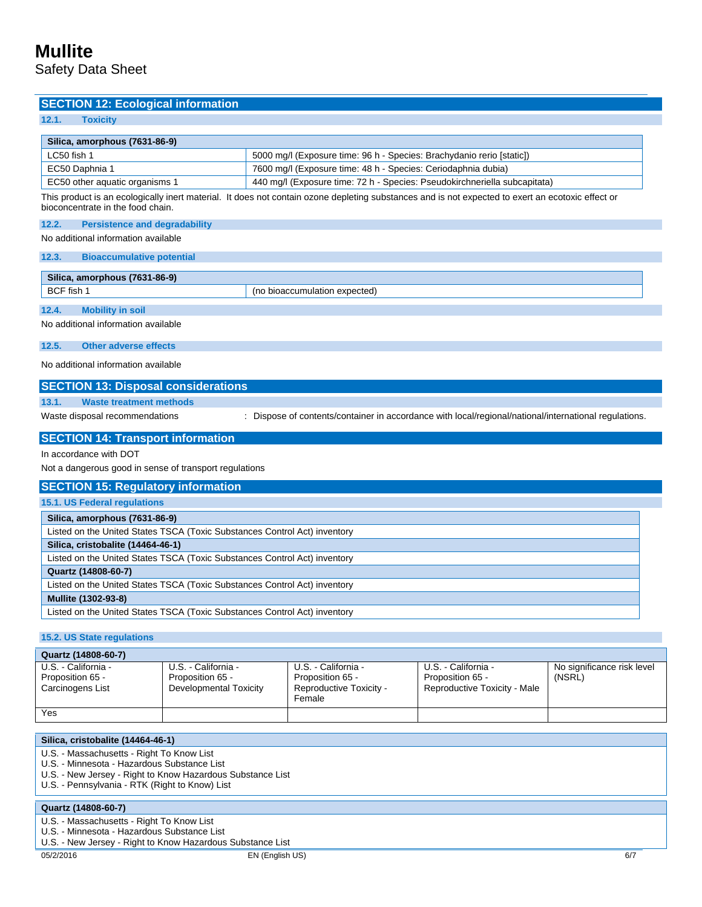Safety Data Sheet

#### **SECTION 12: Ecological information**

#### **12.1. Toxicity**

| Silica, amorphous (7631-86-9)  |                                                                           |
|--------------------------------|---------------------------------------------------------------------------|
| LC50 fish 1                    | 5000 mg/l (Exposure time: 96 h - Species: Brachydanio rerio [static])     |
| EC50 Daphnia 1                 | 7600 mg/l (Exposure time: 48 h - Species: Ceriodaphnia dubia)             |
| EC50 other aquatic organisms 1 | 440 mg/l (Exposure time: 72 h - Species: Pseudokirchneriella subcapitata) |

This product is an ecologically inert material. It does not contain ozone depleting substances and is not expected to exert an ecotoxic effect or bioconcentrate in the food chain.

**12.2. Persistence and degradability**

No additional information available

**12.3. Bioaccumulative potential**

| $(7631 - 86 - 9)$<br><b>Sili</b><br>17024<br>mous<br>amo. |                                                 |  |  |  |
|-----------------------------------------------------------|-------------------------------------------------|--|--|--|
| <b>BCF</b> fish                                           | expected)<br>$_{inc}$<br>umulatior.<br>h1000011 |  |  |  |
| _________                                                 |                                                 |  |  |  |

#### **12.4. Mobility in soil**

No additional information available

**12.5. Other adverse effects**

No additional information available

#### **SECTION 13: Disposal considerations**

**13.1. Waste treatment methods**

Waste disposal recommendations : Dispose of contents/container in accordance with local/regional/national/international regulations.

#### **SECTION 14: Transport information**

#### In accordance with DOT

Not a dangerous good in sense of transport regulations

#### **SECTION 15: Regulatory information**

| 15.1. US Federal regulations                                              |
|---------------------------------------------------------------------------|
| Silica, amorphous (7631-86-9)                                             |
| Listed on the United States TSCA (Toxic Substances Control Act) inventory |
| Silica, cristobalite (14464-46-1)                                         |
| Listed on the United States TSCA (Toxic Substances Control Act) inventory |
| Quartz (14808-60-7)                                                       |
| Listed on the United States TSCA (Toxic Substances Control Act) inventory |
| Mullite (1302-93-8)                                                       |
| Listed on the United States TSCA (Toxic Substances Control Act) inventory |

#### **15.2. US State regulations**

| Quartz (14808-60-7)                     |                                         |                                         |                                         |                                      |  |  |  |
|-----------------------------------------|-----------------------------------------|-----------------------------------------|-----------------------------------------|--------------------------------------|--|--|--|
| U.S. - California -<br>Proposition 65 - | U.S. - California -<br>Proposition 65 - | U.S. - California -<br>Proposition 65 - | U.S. - California -<br>Proposition 65 - | No significance risk level<br>(NSRL) |  |  |  |
| Carcinogens List                        | Developmental Toxicity                  | Reproductive Toxicity -<br>Female       | Reproductive Toxicity - Male            |                                      |  |  |  |
| Yes                                     |                                         |                                         |                                         |                                      |  |  |  |

| Silica, cristobalite (14464-46-1)                          |
|------------------------------------------------------------|
| U.S. - Massachusetts - Right To Know List                  |
| U.S. - Minnesota - Hazardous Substance List                |
| U.S. - New Jersey - Right to Know Hazardous Substance List |
| U.S. - Pennsylvania - RTK (Right to Know) List             |
|                                                            |
| Quartz (14808-60-7)                                        |
| U.S. - Massachusetts - Right To Know List                  |
|                                                            |
| U.S. - Minnesota - Hazardous Substance List                |